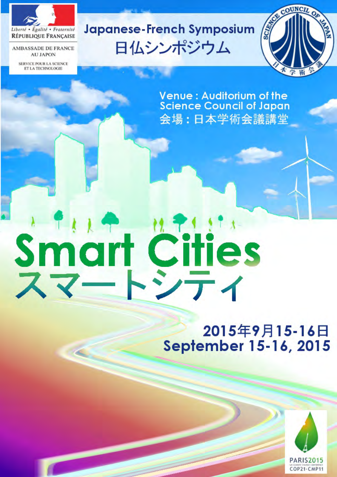

**AMBASSADE DE FRANCE AU JAPON** 

**SERVICE POUR LA SCIENCE** ET LA TECHNOLOGIE

# Japanese-French Symposium 日仏シンポジウム



Venue : Auditorium of the<br>Science Council of Japan 会場:日本学術会議講堂

# Smart Cities

# 2015年9月15-16日 September 15-16, 2015

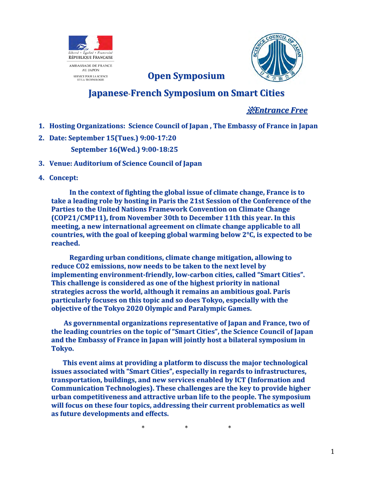

# **Japanese**-**French Symposium on Smart Cities**

**Open Symposium**

※*Entrance Free*

- **1. Hosting Organizations: Science Council of Japan , The Embassy of France in Japan**
- **2. Date: September 15(Tues.) 9:00-17:20 September 16(Wed.) 9:00-18:25**
- **3. Venue: Auditorium of Science Council of Japan**
- **4. Concept:**

**In the context of fighting the global issue of climate change, France is to take a leading role by hosting in Paris the 21st Session of the Conference of the Parties to the United Nations Framework Convention on Climate Change (COP21/CMP11), from November 30th to December 11th this year. In this meeting, a new international agreement on climate change applicable to all countries, with the goal of keeping global warming below 2°C, is expected to be reached.**

**Regarding urban conditions, climate change mitigation, allowing to reduce CO2 emissions, now needs to be taken to the next level by implementing environment-friendly, low-carbon cities, called "Smart Cities". This challenge is considered as one of the highest priority in national strategies across the world, although it remains an ambitious goal. Paris particularly focuses on this topic and so does Tokyo, especially with the objective of the Tokyo 2020 Olympic and Paralympic Games.**

**As governmental organizations representative of Japan and France, two of the leading countries on the topic of "Smart Cities", the Science Council of Japan and the Embassy of France in Japan will jointly host a bilateral symposium in Tokyo.**

**This event aims at providing a platform to discuss the major technological issues associated with "Smart Cities", especially in regards to infrastructures, transportation, buildings, and new services enabled by ICT (Information and Communication Technologies). These challenges are the key to provide higher urban competitiveness and attractive urban life to the people. The symposium will focus on these four topics, addressing their current problematics as well as future developments and effects.**

\* \* \*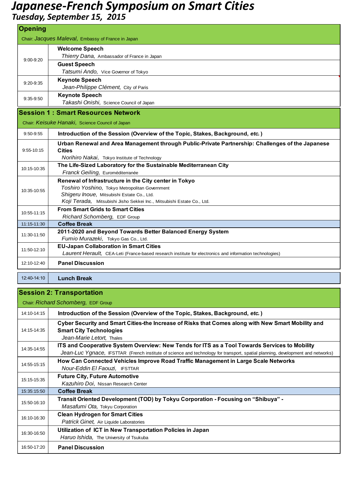# *Japanese-French Symposium on Smart Cities*

| Tuesday, September 15, 2015 |  |
|-----------------------------|--|
|-----------------------------|--|

| <b>Opening</b> |                                                                                                          |
|----------------|----------------------------------------------------------------------------------------------------------|
|                | Chair: Jacques Maleval, Embassy of France in Japan                                                       |
| $9:00 - 9:20$  | <b>Welcome Speech</b>                                                                                    |
|                | Thierry Dana, Ambassador of France in Japan                                                              |
|                | <b>Guest Speech</b>                                                                                      |
|                | Tatsumi Ando, Vice Governor of Tokyo                                                                     |
| $9:20 - 9:35$  | <b>Keynote Speech</b>                                                                                    |
|                | Jean-Philippe Clément, City of Paris                                                                     |
| $9:35-9:50$    | <b>Keynote Speech</b>                                                                                    |
|                | Takashi Onishi, Science Council of Japan                                                                 |
|                | <b>Session 1: Smart Resources Network</b>                                                                |
|                | Chair: Keisuke Hanaki, Science Council of Japan                                                          |
| $9:50-9:55$    | Introduction of the Session (Overview of the Topic, Stakes, Background, etc.)                            |
| 9:55-10:15     | Urban Renewal and Area Management through Public-Private Partnership: Challenges of the Japanese         |
|                | <b>Cities</b>                                                                                            |
|                | Norihiro Nakai, Tokyo Institute of Technology                                                            |
| 10:15-10:35    | The Life-Sized Laboratory for the Sustainable Mediterranean City                                         |
|                | Franck Geiling, Euroméditerranée                                                                         |
|                | Renewal of Infrastructure in the City center in Tokyo                                                    |
| 10:35-10:55    | Toshiro Yoshino, Tokyo Metropolitan Government<br>Shigeru Inoue, Mitsubishi Estate Co., Ltd.             |
|                | Koji Terada, Mitsubishi Jisho Sekkei Inc., Mitsubishi Estate Co., Ltd.                                   |
|                | <b>From Smart Grids to Smart Cities</b>                                                                  |
| 10:55-11:15    | Richard Schomberg, EDF Group                                                                             |
| 11:15-11:30    | <b>Coffee Break</b>                                                                                      |
| 11:30-11:50    | 2011-2020 and Beyond Towards Better Balanced Energy System                                               |
|                | Fumio Murazeki, Tokyo Gas Co., Ltd.                                                                      |
| 11:50-12:10    | <b>EU-Japan Collaboration in Smart Cities</b>                                                            |
|                | Laurent Herault, CEA-Leti (France-based research institute for electronics and information technologies) |
| 12:10-12:40    | <b>Panel Discussion</b>                                                                                  |
| 12:40-14:10    | <b>Lunch Break</b>                                                                                       |

### **Session 2: Transportation** 14:10-14:15 **Introduction of the Session (Overview of the Topic, Stakes, Background,** *etc.***)** 14:15-14:35 **Cyber Security and Smart Cities-the Increase of Risks that Comes along with New Smart Mobility and Smart City Technologies** *Jean-Marie Letort,* Thales 14:35-14:55 **ITS and Cooperative System Overview: New Tends for ITS as a Tool Towards Services to Mobility** *Jean-Luc Ygnace,* IFSTTAR (French institute of science and technology for transport, spatial planning, development and networks) 14:55-15:15 **How Can Connected Vehicles Improve Road Traffic Management in Large Scale Networks**  *Nour-Eddin El Faouzi,* IFSTTAR 15:15-15:35 **Future City, Future Automotive** *Kazuhiro Doi,* Nissan Research Center 15:35:15:50 **Coffee Break** 15:50-16:10 **Transit Oriented Development (TOD) by Tokyu Corporation - Focusing on "Shibuya" -** *Masafumi Ota,* Tokyu Corporation 16:10-16:30 **Clean Hydrogen for Smart Cities**  *Patrick Ginet,* Air Liquide Laboratories 16:30-16:50 **Utilization of ICT in New Transportation Policies in Japan** *Haruo Ishida,* The University of Tsukuba 16:50-17:20 **Panel Discussion** Chair: *Richard Schomberg,* EDF Group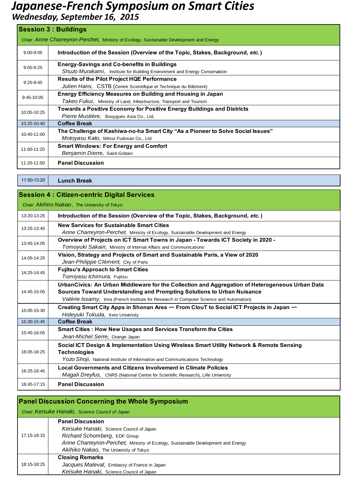# *Japanese-French Symposium on Smart Cities*

*Wednesday, September 16, 2015*

| <b>Session 3: Buildings</b>                                                             |                                                                                                                                     |  |  |
|-----------------------------------------------------------------------------------------|-------------------------------------------------------------------------------------------------------------------------------------|--|--|
| Chair: Anne Charreyron-Perchet, Ministry of Ecology, Sustainable Development and Energy |                                                                                                                                     |  |  |
| $9:00 - 9:05$                                                                           | Introduction of the Session (Overview of the Topic, Stakes, Background, etc.)                                                       |  |  |
| $9:05-9:25$                                                                             | <b>Energy-Savings and Co-benefits in Buildings</b><br>Shuzo Murakami, Institute for Building Environment and Energy Conservation    |  |  |
| $9:25-9:45$                                                                             | <b>Results of the Pilot Project HQE Performance</b><br>Julien Hans, CSTB (Centre Scientifique et Technique du Bâtiment)             |  |  |
| $9:45-10:05$                                                                            | Energy Efficiency Measures on Building and Housing in Japan<br>Takeo Fukui, Ministry of Land, Infrastructure, Transport and Tourism |  |  |
| 10:05-10:25                                                                             | Towards a Positive Economy for Positive Energy Buildings and Districts<br>Pierre Mustière, Bouygues Asia Co., Ltd.                  |  |  |
| $10:25-10:40$                                                                           | <b>Coffee Break</b>                                                                                                                 |  |  |
| $10:40-11:00$                                                                           | The Challenge of Kashiwa-no-ha Smart City "As a Pioneer to Solve Social Issues"<br>Motoyasu Kato, Mitsui Fudosan Co., Ltd           |  |  |
| 11:00-11:20                                                                             | <b>Smart Windows: For Energy and Comfort</b><br>Benjamin Dierre, Saint-Gobain                                                       |  |  |
| 11:20-11:50                                                                             | <b>Panel Discussion</b>                                                                                                             |  |  |

11:50-13:20 **Lunch Break**

| <b>Session 4: Citizen-centric Digital Services</b><br>Chair: Akihiro Nakao, The University of Tokyo |                                                                                                                                                                                                                                                                        |  |
|-----------------------------------------------------------------------------------------------------|------------------------------------------------------------------------------------------------------------------------------------------------------------------------------------------------------------------------------------------------------------------------|--|
|                                                                                                     |                                                                                                                                                                                                                                                                        |  |
| 13:25-13:45                                                                                         | <b>New Services for Sustainable Smart Cities</b><br>Anne Charreyron-Perchet, Ministry of Ecology, Sustainable Development and Energy                                                                                                                                   |  |
| 13:45-14:05                                                                                         | Overview of Projects on ICT Smart Towns in Japan - Towards ICT Society in 2020 -<br>Tomoyuki Sakairi, Ministry of Internal Affairs and Communications                                                                                                                  |  |
| 14:05-14:25                                                                                         | Vision, Strategy and Projects of Smart and Sustainable Paris, a View of 2020<br>Jean-Philippe Clément, City of Paris                                                                                                                                                   |  |
| 14:25-14:45                                                                                         | <b>Fujitsu's Approach to Smart Cities</b><br>Tomiyasu Ichimura, Fujitsu                                                                                                                                                                                                |  |
| 14:45-15:05                                                                                         | UrbanCivics: An Urban Middleware for the Collection and Aggregation of Heterogeneous Urban Data<br>Sources Toward Understanding and Prompting Solutions to Urban Nuisance<br>Valérie Issarny, Inria (French Institute for Research in Computer Science and Automation) |  |
| 15:05-15:30                                                                                         | Creating Smart City Apps in Shonan Area ~ From ClouT to Social ICT Projects in Japan ~<br>Hideyuki Tokuda, Keio University                                                                                                                                             |  |
| 15:30-15:45                                                                                         | <b>Coffee Break</b>                                                                                                                                                                                                                                                    |  |
| 15:45-16:05                                                                                         | Smart Cities : How New Usages and Services Transform the Cities<br>Jean-Michel Serre, Orange Japan                                                                                                                                                                     |  |
| 16:05-16:25                                                                                         | Social ICT Design & Implementation Using Wireless Smart Utility Network & Remote Sensing<br><b>Technologies</b><br>Yozo Shoji, National Institute of Information and Communications Technology                                                                         |  |
| 16:25-16:45                                                                                         | <b>Local Governments and Citizens Involvement in Climate Policies</b><br>Magali Dreyfus, CNRS (National Centre for Scientific Research), Lille University                                                                                                              |  |
| 16:45-17:15                                                                                         | <b>Panel Discussion</b>                                                                                                                                                                                                                                                |  |

| <b>Panel Discussion Concerning the Whole Symposium</b><br>Chair: Keisuke Hanaki, Science Council of Japan |                                                                                                                                                                                                                                   |  |
|-----------------------------------------------------------------------------------------------------------|-----------------------------------------------------------------------------------------------------------------------------------------------------------------------------------------------------------------------------------|--|
| 17:15-18:15                                                                                               | <b>Panel Discussion</b><br>Keisuke Hanaki, Science Council of Japan<br>Richard Schomberg, EDF Group<br>Anne Charreyron-Perchet, Ministry of Ecology, Sustainable Development and Energy<br>Akihiko Nakao, The University of Tokyo |  |
| 18:15-18:25                                                                                               | <b>Closing Remarks</b><br>Jacques Maleval, Embassy of France in Japan<br>Keisuke Hanaki, Science Council of Japan                                                                                                                 |  |